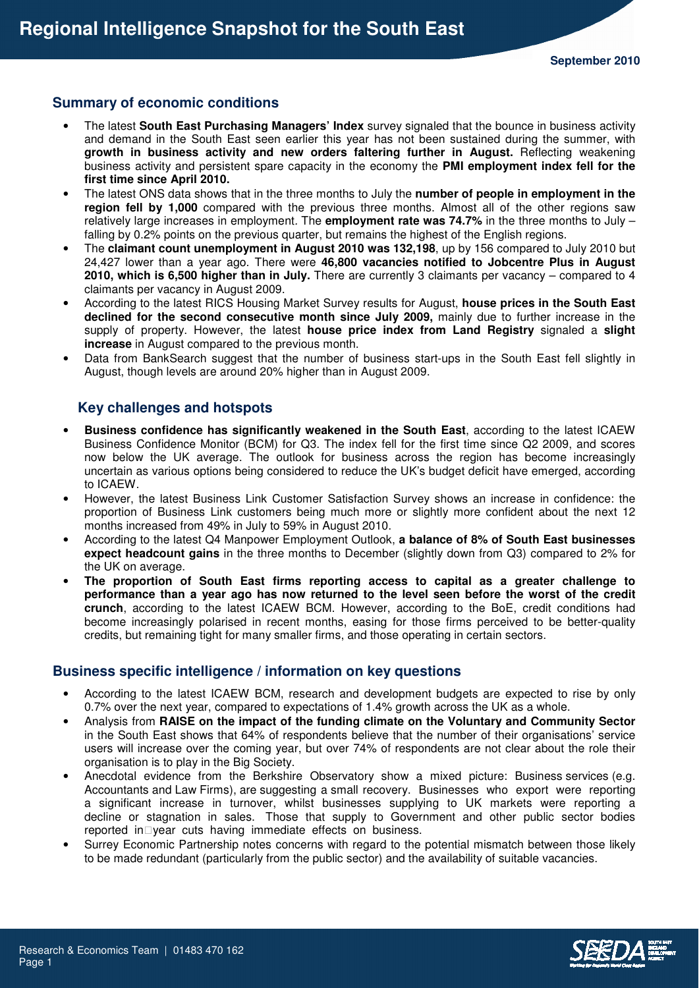# **Summary of economic conditions**

- The latest **South East Purchasing Managers' Index** survey signaled that the bounce in business activity and demand in the South East seen earlier this year has not been sustained during the summer, with **growth in business activity and new orders faltering further in August.** Reflecting weakening business activity and persistent spare capacity in the economy the **PMI employment index fell for the first time since April 2010.**
- The latest ONS data shows that in the three months to July the **number of people in employment in the region fell by 1,000** compared with the previous three months. Almost all of the other regions saw relatively large increases in employment. The **employment rate was 74.7%** in the three months to July – falling by 0.2% points on the previous quarter, but remains the highest of the English regions.
- The **claimant count unemployment in August 2010 was 132,198**, up by 156 compared to July 2010 but 24,427 lower than a year ago. There were **46,800 vacancies notified to Jobcentre Plus in August 2010, which is 6,500 higher than in July.** There are currently 3 claimants per vacancy – compared to 4 claimants per vacancy in August 2009.
- According to the latest RICS Housing Market Survey results for August, **house prices in the South East declined for the second consecutive month since July 2009,** mainly due to further increase in the supply of property. However, the latest **house price index from Land Registry** signaled a **slight increase** in August compared to the previous month.
- Data from BankSearch suggest that the number of business start-ups in the South East fell slightly in August, though levels are around 20% higher than in August 2009.

# **Key challenges and hotspots**

- **Business confidence has significantly weakened in the South East**, according to the latest ICAEW Business Confidence Monitor (BCM) for Q3. The index fell for the first time since Q2 2009, and scores now below the UK average. The outlook for business across the region has become increasingly uncertain as various options being considered to reduce the UK's budget deficit have emerged, according to ICAEW.
- However, the latest Business Link Customer Satisfaction Survey shows an increase in confidence: the proportion of Business Link customers being much more or slightly more confident about the next 12 months increased from 49% in July to 59% in August 2010.
- According to the latest Q4 Manpower Employment Outlook, **a balance of 8% of South East businesses expect headcount gains** in the three months to December (slightly down from Q3) compared to 2% for the UK on average.
- **The proportion of South East firms reporting access to capital as a greater challenge to performance than a year ago has now returned to the level seen before the worst of the credit crunch**, according to the latest ICAEW BCM. However, according to the BoE, credit conditions had become increasingly polarised in recent months, easing for those firms perceived to be better-quality credits, but remaining tight for many smaller firms, and those operating in certain sectors.

## **Business specific intelligence / information on key questions**

- According to the latest ICAEW BCM, research and development budgets are expected to rise by only 0.7% over the next year, compared to expectations of 1.4% growth across the UK as a whole.
- Analysis from **RAISE on the impact of the funding climate on the Voluntary and Community Sector** in the South East shows that 64% of respondents believe that the number of their organisations' service users will increase over the coming year, but over 74% of respondents are not clear about the role their organisation is to play in the Big Society.
- Anecdotal evidence from the Berkshire Observatory show a mixed picture: Business services (e.g. Accountants and Law Firms), are suggesting a small recovery. Businesses who export were reporting a significant increase in turnover, whilst businesses supplying to UK markets were reporting a decline or stagnation in sales. Those that supply to Government and other public sector bodies reported in year cuts having immediate effects on business.
- Surrey Economic Partnership notes concerns with regard to the potential mismatch between those likely to be made redundant (particularly from the public sector) and the availability of suitable vacancies.

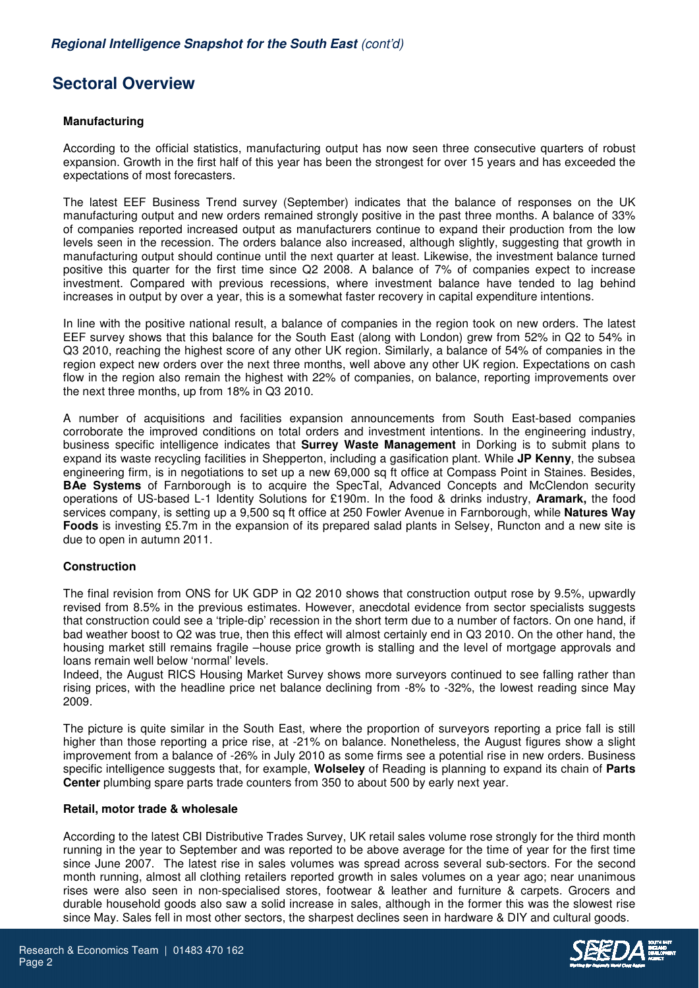# **Sectoral Overview**

## **Manufacturing**

According to the official statistics, manufacturing output has now seen three consecutive quarters of robust expansion. Growth in the first half of this year has been the strongest for over 15 years and has exceeded the expectations of most forecasters.

The latest EEF Business Trend survey (September) indicates that the balance of responses on the UK manufacturing output and new orders remained strongly positive in the past three months. A balance of 33% of companies reported increased output as manufacturers continue to expand their production from the low levels seen in the recession. The orders balance also increased, although slightly, suggesting that growth in manufacturing output should continue until the next quarter at least. Likewise, the investment balance turned positive this quarter for the first time since Q2 2008. A balance of 7% of companies expect to increase investment. Compared with previous recessions, where investment balance have tended to lag behind increases in output by over a year, this is a somewhat faster recovery in capital expenditure intentions.

In line with the positive national result, a balance of companies in the region took on new orders. The latest EEF survey shows that this balance for the South East (along with London) grew from 52% in Q2 to 54% in Q3 2010, reaching the highest score of any other UK region. Similarly, a balance of 54% of companies in the region expect new orders over the next three months, well above any other UK region. Expectations on cash flow in the region also remain the highest with 22% of companies, on balance, reporting improvements over the next three months, up from 18% in Q3 2010.

A number of acquisitions and facilities expansion announcements from South East-based companies corroborate the improved conditions on total orders and investment intentions. In the engineering industry, business specific intelligence indicates that **Surrey Waste Management** in Dorking is to submit plans to expand its waste recycling facilities in Shepperton, including a gasification plant. While **JP Kenny**, the subsea engineering firm, is in negotiations to set up a new 69,000 sq ft office at Compass Point in Staines. Besides, **BAe Systems** of Farnborough is to acquire the SpecTal, Advanced Concepts and McClendon security operations of US-based L-1 Identity Solutions for £190m. In the food & drinks industry, **Aramark,** the food services company, is setting up a 9,500 sq ft office at 250 Fowler Avenue in Farnborough, while **Natures Way Foods** is investing £5.7m in the expansion of its prepared salad plants in Selsey, Runcton and a new site is due to open in autumn 2011.

#### **Construction**

The final revision from ONS for UK GDP in Q2 2010 shows that construction output rose by 9.5%, upwardly revised from 8.5% in the previous estimates. However, anecdotal evidence from sector specialists suggests that construction could see a 'triple-dip' recession in the short term due to a number of factors. On one hand, if bad weather boost to Q2 was true, then this effect will almost certainly end in Q3 2010. On the other hand, the housing market still remains fragile –house price growth is stalling and the level of mortgage approvals and loans remain well below 'normal' levels.

Indeed, the August RICS Housing Market Survey shows more surveyors continued to see falling rather than rising prices, with the headline price net balance declining from -8% to -32%, the lowest reading since May 2009.

The picture is quite similar in the South East, where the proportion of surveyors reporting a price fall is still higher than those reporting a price rise, at -21% on balance. Nonetheless, the August figures show a slight improvement from a balance of -26% in July 2010 as some firms see a potential rise in new orders. Business specific intelligence suggests that, for example, **Wolseley** of Reading is planning to expand its chain of **Parts Center** plumbing spare parts trade counters from 350 to about 500 by early next year.

#### **Retail, motor trade & wholesale**

According to the latest CBI Distributive Trades Survey, UK retail sales volume rose strongly for the third month running in the year to September and was reported to be above average for the time of year for the first time since June 2007. The latest rise in sales volumes was spread across several sub-sectors. For the second month running, almost all clothing retailers reported growth in sales volumes on a year ago; near unanimous rises were also seen in non-specialised stores, footwear & leather and furniture & carpets. Grocers and durable household goods also saw a solid increase in sales, although in the former this was the slowest rise since May. Sales fell in most other sectors, the sharpest declines seen in hardware & DIY and cultural goods.

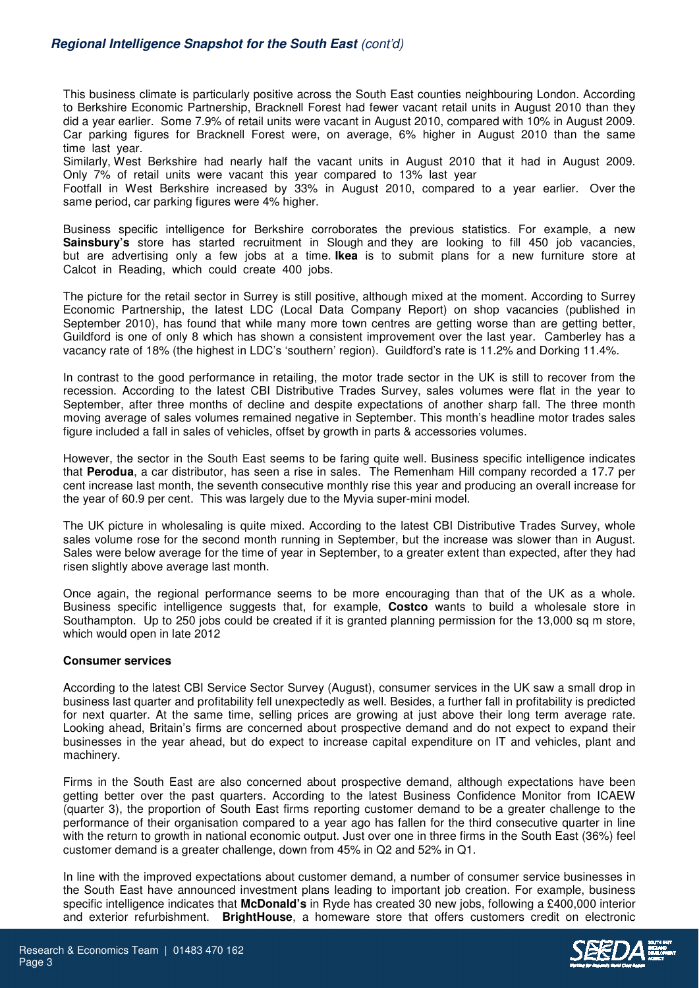This business climate is particularly positive across the South East counties neighbouring London. According to Berkshire Economic Partnership, Bracknell Forest had fewer vacant retail units in August 2010 than they did a year earlier. Some 7.9% of retail units were vacant in August 2010, compared with 10% in August 2009. Car parking figures for Bracknell Forest were, on average, 6% higher in August 2010 than the same time last year.

Similarly, West Berkshire had nearly half the vacant units in August 2010 that it had in August 2009. Only 7% of retail units were vacant this year compared to 13% last year

Footfall in West Berkshire increased by 33% in August 2010, compared to a year earlier. Over the same period, car parking figures were 4% higher.

Business specific intelligence for Berkshire corroborates the previous statistics. For example, a new **Sainsbury's** store has started recruitment in Slough and they are looking to fill 450 job vacancies, but are advertising only a few jobs at a time. **Ikea** is to submit plans for a new furniture store at Calcot in Reading, which could create 400 jobs.

The picture for the retail sector in Surrey is still positive, although mixed at the moment. According to Surrey Economic Partnership, the latest LDC (Local Data Company Report) on shop vacancies (published in September 2010), has found that while many more town centres are getting worse than are getting better, Guildford is one of only 8 which has shown a consistent improvement over the last year. Camberley has a vacancy rate of 18% (the highest in LDC's 'southern' region). Guildford's rate is 11.2% and Dorking 11.4%.

In contrast to the good performance in retailing, the motor trade sector in the UK is still to recover from the recession. According to the latest CBI Distributive Trades Survey, sales volumes were flat in the year to September, after three months of decline and despite expectations of another sharp fall. The three month moving average of sales volumes remained negative in September. This month's headline motor trades sales figure included a fall in sales of vehicles, offset by growth in parts & accessories volumes.

However, the sector in the South East seems to be faring quite well. Business specific intelligence indicates that **Perodua**, a car distributor, has seen a rise in sales. The Remenham Hill company recorded a 17.7 per cent increase last month, the seventh consecutive monthly rise this year and producing an overall increase for the year of 60.9 per cent. This was largely due to the Myvia super-mini model.

The UK picture in wholesaling is quite mixed. According to the latest CBI Distributive Trades Survey, whole sales volume rose for the second month running in September, but the increase was slower than in August. Sales were below average for the time of year in September, to a greater extent than expected, after they had risen slightly above average last month.

Once again, the regional performance seems to be more encouraging than that of the UK as a whole. Business specific intelligence suggests that, for example, **Costco** wants to build a wholesale store in Southampton. Up to 250 jobs could be created if it is granted planning permission for the 13,000 sq m store, which would open in late 2012

## **Consumer services**

According to the latest CBI Service Sector Survey (August), consumer services in the UK saw a small drop in business last quarter and profitability fell unexpectedly as well. Besides, a further fall in profitability is predicted for next quarter. At the same time, selling prices are growing at just above their long term average rate. Looking ahead, Britain's firms are concerned about prospective demand and do not expect to expand their businesses in the year ahead, but do expect to increase capital expenditure on IT and vehicles, plant and machinery.

Firms in the South East are also concerned about prospective demand, although expectations have been getting better over the past quarters. According to the latest Business Confidence Monitor from ICAEW (quarter 3), the proportion of South East firms reporting customer demand to be a greater challenge to the performance of their organisation compared to a year ago has fallen for the third consecutive quarter in line with the return to growth in national economic output. Just over one in three firms in the South East (36%) feel customer demand is a greater challenge, down from 45% in Q2 and 52% in Q1.

In line with the improved expectations about customer demand, a number of consumer service businesses in the South East have announced investment plans leading to important job creation. For example, business specific intelligence indicates that **McDonald's** in Ryde has created 30 new jobs, following a £400,000 interior and exterior refurbishment. **BrightHouse**, a homeware store that offers customers credit on electronic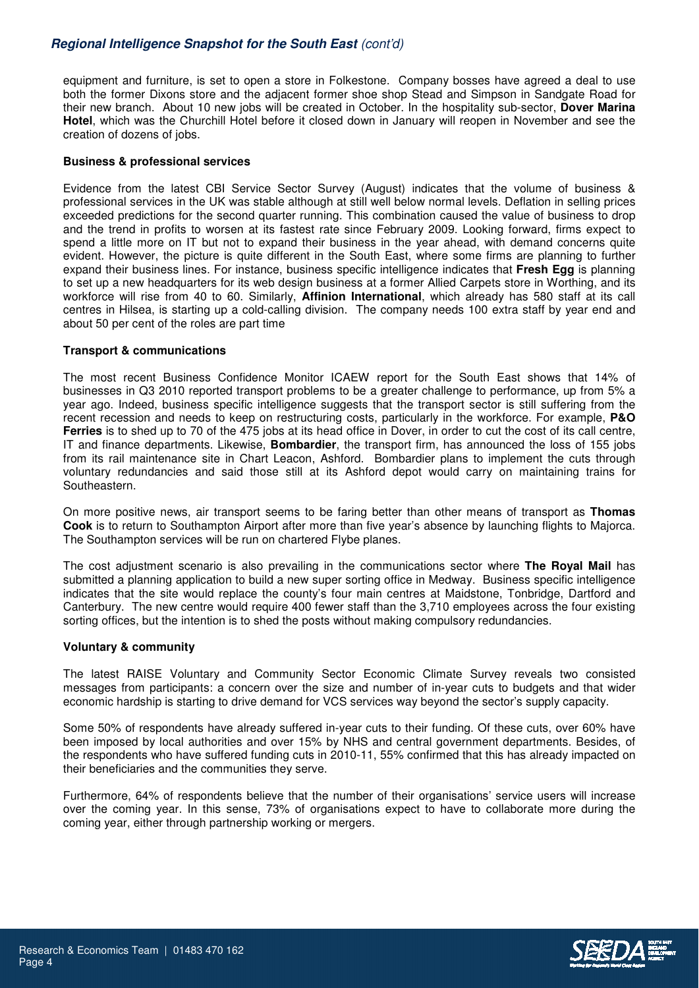# **Regional Intelligence Snapshot for the South East** (cont'd)

equipment and furniture, is set to open a store in Folkestone. Company bosses have agreed a deal to use both the former Dixons store and the adjacent former shoe shop Stead and Simpson in Sandgate Road for their new branch. About 10 new jobs will be created in October. In the hospitality sub-sector, **Dover Marina Hotel**, which was the Churchill Hotel before it closed down in January will reopen in November and see the creation of dozens of jobs.

### **Business & professional services**

Evidence from the latest CBI Service Sector Survey (August) indicates that the volume of business & professional services in the UK was stable although at still well below normal levels. Deflation in selling prices exceeded predictions for the second quarter running. This combination caused the value of business to drop and the trend in profits to worsen at its fastest rate since February 2009. Looking forward, firms expect to spend a little more on IT but not to expand their business in the year ahead, with demand concerns quite evident. However, the picture is quite different in the South East, where some firms are planning to further expand their business lines. For instance, business specific intelligence indicates that **Fresh Egg** is planning to set up a new headquarters for its web design business at a former Allied Carpets store in Worthing, and its workforce will rise from 40 to 60. Similarly, **Affinion International**, which already has 580 staff at its call centres in Hilsea, is starting up a cold-calling division. The company needs 100 extra staff by year end and about 50 per cent of the roles are part time

### **Transport & communications**

The most recent Business Confidence Monitor ICAEW report for the South East shows that 14% of businesses in Q3 2010 reported transport problems to be a greater challenge to performance, up from 5% a year ago. Indeed, business specific intelligence suggests that the transport sector is still suffering from the recent recession and needs to keep on restructuring costs, particularly in the workforce. For example, **P&O Ferries** is to shed up to 70 of the 475 jobs at its head office in Dover, in order to cut the cost of its call centre, IT and finance departments. Likewise, **Bombardier**, the transport firm, has announced the loss of 155 jobs from its rail maintenance site in Chart Leacon, Ashford. Bombardier plans to implement the cuts through voluntary redundancies and said those still at its Ashford depot would carry on maintaining trains for Southeastern.

On more positive news, air transport seems to be faring better than other means of transport as **Thomas Cook** is to return to Southampton Airport after more than five year's absence by launching flights to Majorca. The Southampton services will be run on chartered Flybe planes.

The cost adjustment scenario is also prevailing in the communications sector where **The Royal Mail** has submitted a planning application to build a new super sorting office in Medway. Business specific intelligence indicates that the site would replace the county's four main centres at Maidstone, Tonbridge, Dartford and Canterbury. The new centre would require 400 fewer staff than the 3,710 employees across the four existing sorting offices, but the intention is to shed the posts without making compulsory redundancies.

## **Voluntary & community**

The latest RAISE Voluntary and Community Sector Economic Climate Survey reveals two consisted messages from participants: a concern over the size and number of in-year cuts to budgets and that wider economic hardship is starting to drive demand for VCS services way beyond the sector's supply capacity.

Some 50% of respondents have already suffered in-year cuts to their funding. Of these cuts, over 60% have been imposed by local authorities and over 15% by NHS and central government departments. Besides, of the respondents who have suffered funding cuts in 2010-11, 55% confirmed that this has already impacted on their beneficiaries and the communities they serve.

Furthermore, 64% of respondents believe that the number of their organisations' service users will increase over the coming year. In this sense, 73% of organisations expect to have to collaborate more during the coming year, either through partnership working or mergers.